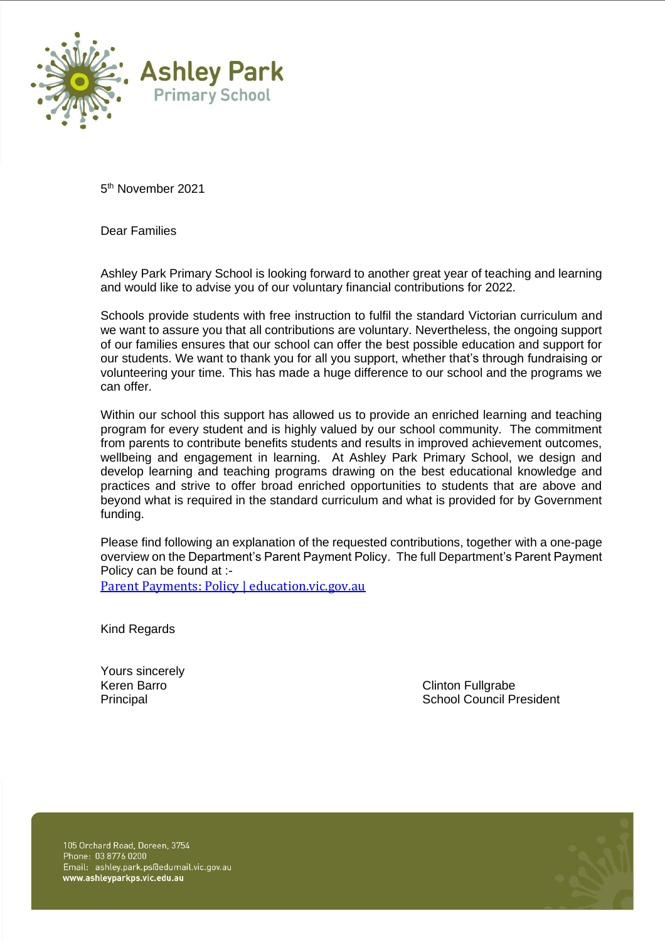

5 th November 2021

Dear Families

Ashley Park Primary School is looking forward to another great year of teaching and learning and would like to advise you of our voluntary financial contributions for 2022*.*

Schools provide students with free instruction to fulfil the standard Victorian curriculum and we want to assure you that all contributions are voluntary. Nevertheless, the ongoing support of our families ensures that our school can offer the best possible education and support for our students. We want to thank you for all you support, whether that's through fundraising or volunteering your time. This has made a huge difference to our school and the programs we can offer.

Within our school this support has allowed us to provide an enriched learning and teaching program for every student and is highly valued by our school community. The commitment from parents to contribute benefits students and results in improved achievement outcomes, wellbeing and engagement in learning. At Ashley Park Primary School, we design and develop learning and teaching programs drawing on the best educational knowledge and practices and strive to offer broad enriched opportunities to students that are above and beyond what is required in the standard curriculum and what is provided for by Government funding.

Please find following an explanation of the requested contributions, together with a one-page overview on the Department's Parent Payment Policy. The full Department's Parent Payment Policy can be found at :-

[Parent Payments: Policy | education.vic.gov.au](https://www2.education.vic.gov.au/pal/parent-payment/policy)

Kind Regards

Yours sincerely

Keren Barro **Clinton Fullgrabe** Principal **Principal** School Council President

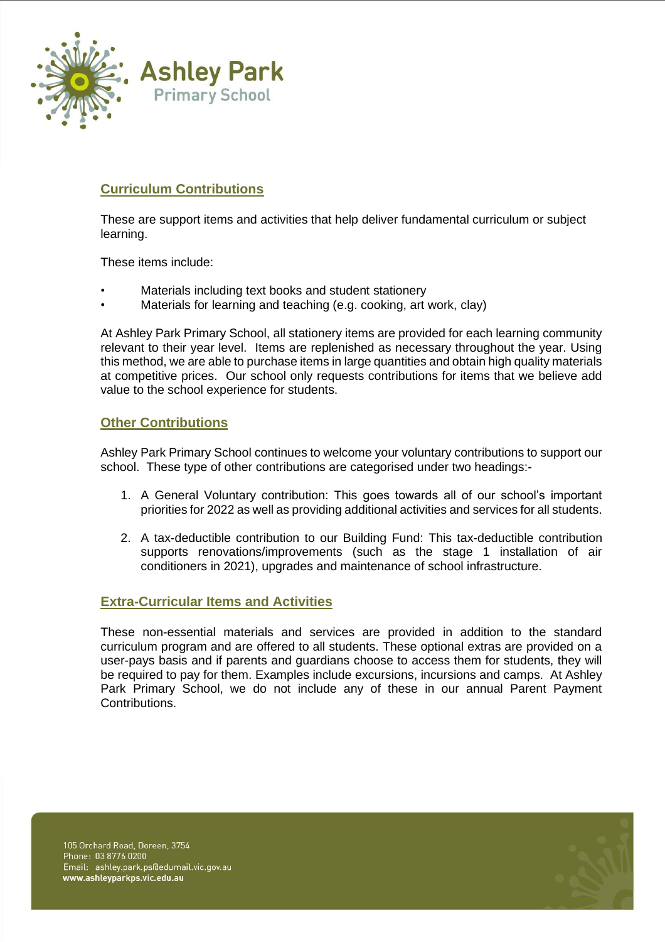

### **Curriculum Contributions**

These are support items and activities that help deliver fundamental curriculum or subject learning.

These items include:

- Materials including text books and student stationery
- Materials for learning and teaching (e.g. cooking, art work, clay)

At Ashley Park Primary School, all stationery items are provided for each learning community relevant to their year level. Items are replenished as necessary throughout the year. Using this method, we are able to purchase items in large quantities and obtain high quality materials at competitive prices. Our school only requests contributions for items that we believe add value to the school experience for students.

### **Other Contributions**

Ashley Park Primary School continues to welcome your voluntary contributions to support our school. These type of other contributions are categorised under two headings:-

- 1. A General Voluntary contribution: This goes towards all of our school's important priorities for 2022 as well as providing additional activities and services for all students.
- 2. A tax-deductible contribution to our Building Fund: This tax-deductible contribution supports renovations/improvements (such as the stage 1 installation of air conditioners in 2021), upgrades and maintenance of school infrastructure.

### **Extra-Curricular Items and Activities**

These non-essential materials and services are provided in addition to the standard curriculum program and are offered to all students. These optional extras are provided on a user-pays basis and if parents and guardians choose to access them for students, they will be required to pay for them. Examples include excursions, incursions and camps. At Ashley Park Primary School, we do not include any of these in our annual Parent Payment Contributions.

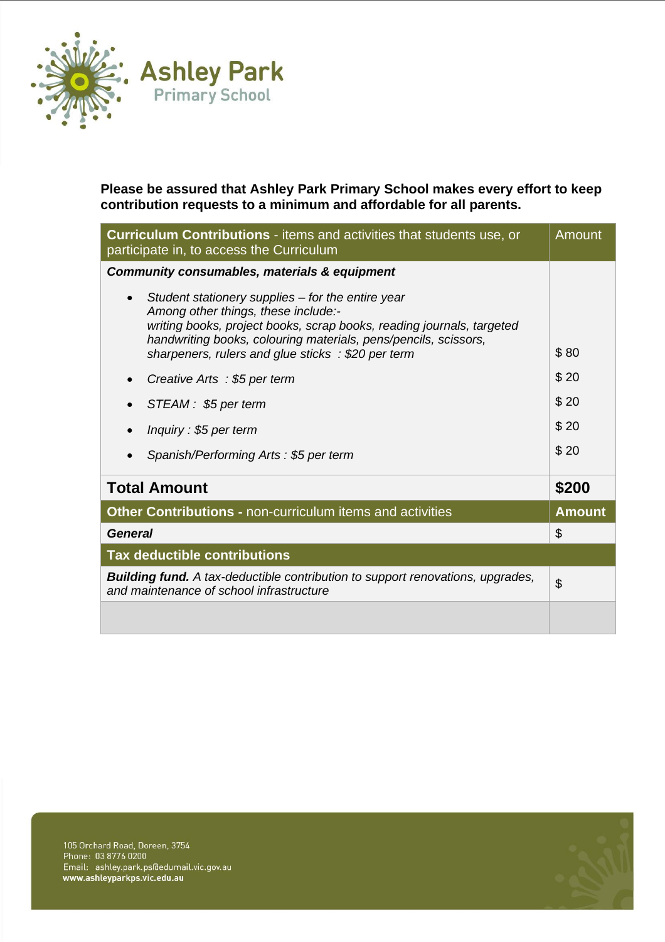

**Please be assured that Ashley Park Primary School makes every effort to keep contribution requests to a minimum and affordable for all parents.** 

| <b>Curriculum Contributions</b> - items and activities that students use, or<br>participate in, to access the Curriculum                                                                                                                                                                                                               | Amount        |
|----------------------------------------------------------------------------------------------------------------------------------------------------------------------------------------------------------------------------------------------------------------------------------------------------------------------------------------|---------------|
| Community consumables, materials & equipment                                                                                                                                                                                                                                                                                           |               |
| Student stationery supplies – for the entire year<br>$\bullet$<br>Among other things, these include:-<br>writing books, project books, scrap books, reading journals, targeted<br>handwriting books, colouring materials, pens/pencils, scissors,<br>sharpeners, rulers and glue sticks : \$20 per term<br>Creative Arts: \$5 per term | \$80<br>\$20  |
|                                                                                                                                                                                                                                                                                                                                        | \$20          |
| STEAM: \$5 per term                                                                                                                                                                                                                                                                                                                    |               |
| Inquiry: \$5 per term                                                                                                                                                                                                                                                                                                                  | \$20          |
| Spanish/Performing Arts: \$5 per term                                                                                                                                                                                                                                                                                                  | \$20          |
| <b>Total Amount</b>                                                                                                                                                                                                                                                                                                                    | \$200         |
| Other Contributions - non-curriculum items and activities                                                                                                                                                                                                                                                                              | <b>Amount</b> |
| <b>General</b>                                                                                                                                                                                                                                                                                                                         | \$            |
| <b>Tax deductible contributions</b>                                                                                                                                                                                                                                                                                                    |               |
| <b>Building fund.</b> A tax-deductible contribution to support renovations, upgrades,<br>and maintenance of school infrastructure                                                                                                                                                                                                      | \$            |
|                                                                                                                                                                                                                                                                                                                                        |               |

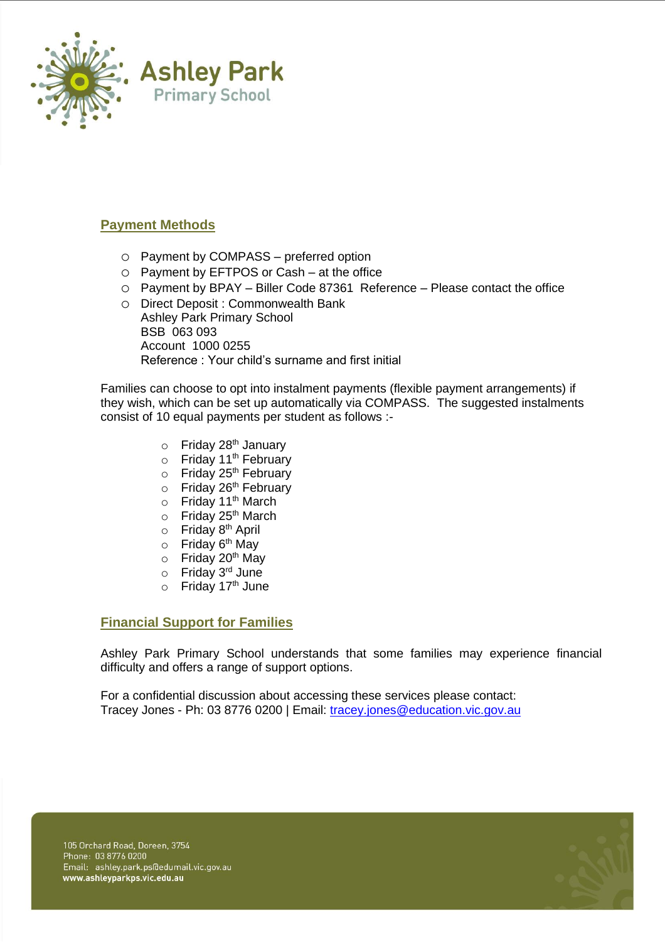

### **Payment Methods**

- o Payment by COMPASS preferred option
- o Payment by EFTPOS or Cash at the office
- o Payment by BPAY Biller Code 87361 Reference Please contact the office
- o Direct Deposit : Commonwealth Bank Ashley Park Primary School BSB 063 093 Account 1000 0255 Reference : Your child's surname and first initial

Families can choose to opt into instalment payments (flexible payment arrangements) if they wish, which can be set up automatically via COMPASS. The suggested instalments consist of 10 equal payments per student as follows :-

- $\circ$  Friday 28<sup>th</sup> January
- $\circ$  Friday 11<sup>th</sup> February
- $\circ$  Friday 25<sup>th</sup> February
- $\circ$  Friday 26<sup>th</sup> February
- Friday 11<sup>th</sup> March
- $\circ$  Friday 25<sup>th</sup> March
- o Friday 8<sup>th</sup> April
- o Friday 6<sup>th</sup> May
- o Friday 20<sup>th</sup> May
- o Friday 3<sup>rd</sup> June
- $\circ$  Friday 17<sup>th</sup> June

### **Financial Support for Families**

Ashley Park Primary School understands that some families may experience financial difficulty and offers a range of support options.

For a confidential discussion about accessing these services please contact: Tracey Jones - Ph: 03 8776 0200 | Email: [tracey.jones@education.vic.gov.au](mailto:tracey.jones@education.vic.gov.au)

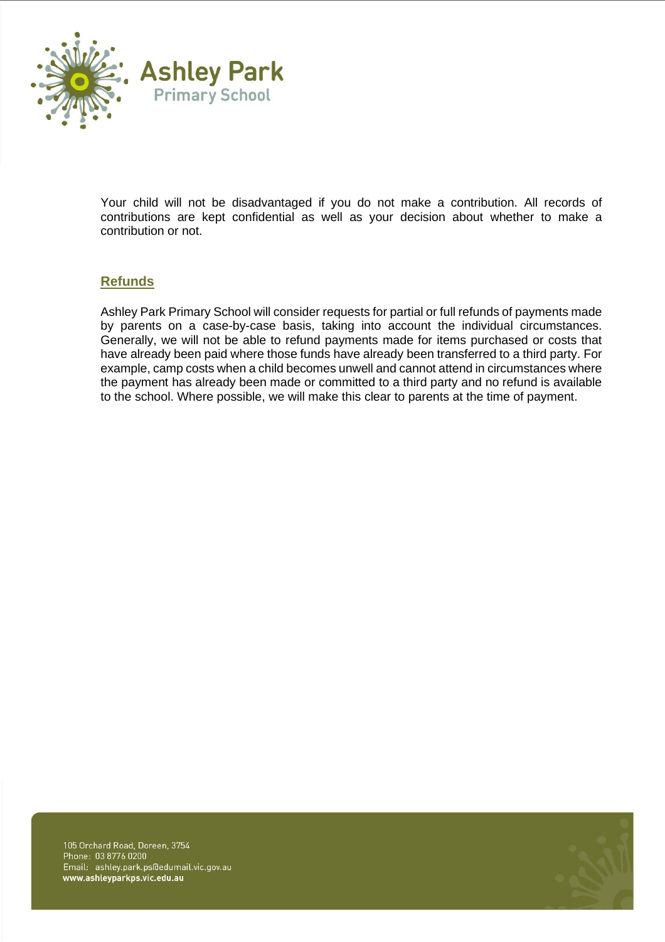

Your child will not be disadvantaged if you do not make a contribution. All records of contributions are kept confidential as well as your decision about whether to make a contribution or not.

### **Refunds**

Ashley Park Primary School will consider requests for partial or full refunds of payments made by parents on a case-by-case basis, taking into account the individual circumstances. Generally, we will not be able to refund payments made for items purchased or costs that have already been paid where those funds have already been transferred to a third party. For example, camp costs when a child becomes unwell and cannot attend in circumstances where the payment has already been made or committed to a third party and no refund is available to the school. Where possible, we will make this clear to parents at the time of payment.